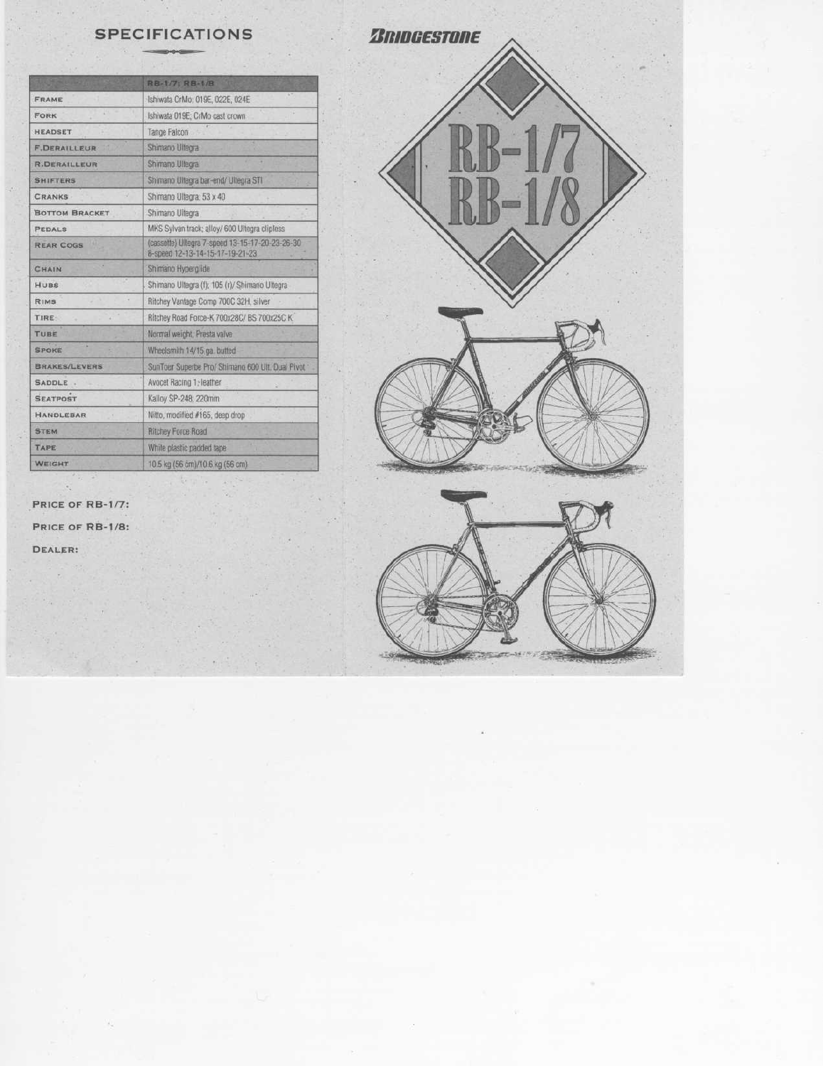|                       | RB-1/7: RB-1/B                                                                     |
|-----------------------|------------------------------------------------------------------------------------|
| <b>FRAME</b>          | Ishiwata CrMo: 019E, 022E, 024E                                                    |
| <b>FORK</b>           | Ishiwata 019E; CrMo cast crown                                                     |
| <b>HEADSET</b>        | Tange Falcon                                                                       |
| <b>F.DERAILLEUR</b>   | Shimano Ultegra                                                                    |
| <b>R.DERAILLEUR</b>   | Shimano Ullegra                                                                    |
| <b>SHIFTERS</b>       | Shimano Ultegra bar-end/ Ultegra STI                                               |
| <b>CRANKS</b>         | Shimano Ultegra; 53 x 40                                                           |
| <b>BOTTOM BRACKET</b> | Shimano Ultegra                                                                    |
| <b>PEDALS</b>         | MKS Sylvan track; alloy/ 600 Ultegra clipless                                      |
| <b>REAR COGS</b>      | (cassette) Ultegra 7-speed 13-15-17-20-23-26-30<br>8-speed 12-13-14-15-17-19-21-23 |
| CHAIN                 | Shimano Hyperglide                                                                 |
| HUBS                  | Shimano Ultegra (f); 105 (r)/ Shimano Ultegra                                      |
| RIMS                  | Ritchey Vantage Comp 700C 32H, silver                                              |
| <b>TIRE:</b>          | Ritchey Road Force-K 700x28C/ BS 700x25C K                                         |
| TUBE                  | Normal weight, Presta valve                                                        |
| <b>SPOKE</b>          | Wheelsmith 14/15 ga. butted                                                        |
| <b>BRAKES/LEVERS</b>  | SunTour Superbe Pro/ Shimano 600 Ult. Dual Pivot -                                 |
| SADDLE.               | Avocet Racing 1: leather                                                           |
| <b>SEATPOST</b>       | Kalloy SP-248, 220mm                                                               |
| <b>HANDLEBAR</b>      | Nitto, modified #165, deep drop                                                    |
| <b>STEM</b>           | <b>Ritchey Force Road</b>                                                          |
| TAPE                  | While plastic padded tape                                                          |
| WEIGHT                | 10.5 kg (56 cm)/10.6 kg (56 cm)                                                    |

PRICE OF RB-1/7:

 $\mathcal{O}_{\mathcal{A}}$ 

PRICE OF RB-1/8:

DEALER: